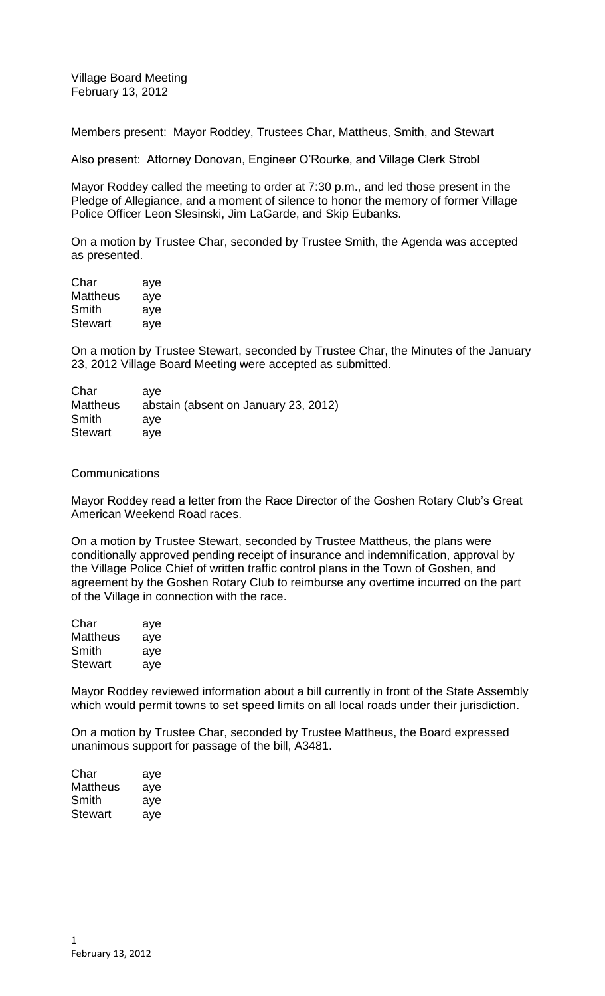Village Board Meeting February 13, 2012

Members present: Mayor Roddey, Trustees Char, Mattheus, Smith, and Stewart

Also present: Attorney Donovan, Engineer O'Rourke, and Village Clerk Strobl

Mayor Roddey called the meeting to order at 7:30 p.m., and led those present in the Pledge of Allegiance, and a moment of silence to honor the memory of former Village Police Officer Leon Slesinski, Jim LaGarde, and Skip Eubanks.

On a motion by Trustee Char, seconded by Trustee Smith, the Agenda was accepted as presented.

| Char            | aye |
|-----------------|-----|
| <b>Mattheus</b> | aye |
| Smith           | aye |
| Stewart         | aye |

On a motion by Trustee Stewart, seconded by Trustee Char, the Minutes of the January 23, 2012 Village Board Meeting were accepted as submitted.

| ave                                  |
|--------------------------------------|
| abstain (absent on January 23, 2012) |
| ave                                  |
| ave                                  |
|                                      |

## **Communications**

Mayor Roddey read a letter from the Race Director of the Goshen Rotary Club's Great American Weekend Road races.

On a motion by Trustee Stewart, seconded by Trustee Mattheus, the plans were conditionally approved pending receipt of insurance and indemnification, approval by the Village Police Chief of written traffic control plans in the Town of Goshen, and agreement by the Goshen Rotary Club to reimburse any overtime incurred on the part of the Village in connection with the race.

| Char            | aye |
|-----------------|-----|
| <b>Mattheus</b> | aye |
| Smith           | aye |
| <b>Stewart</b>  | aye |

Mayor Roddey reviewed information about a bill currently in front of the State Assembly which would permit towns to set speed limits on all local roads under their jurisdiction.

On a motion by Trustee Char, seconded by Trustee Mattheus, the Board expressed unanimous support for passage of the bill, A3481.

| Char     | aye |
|----------|-----|
| Mattheus | aye |
| Smith    | aye |
| Stewart  | aye |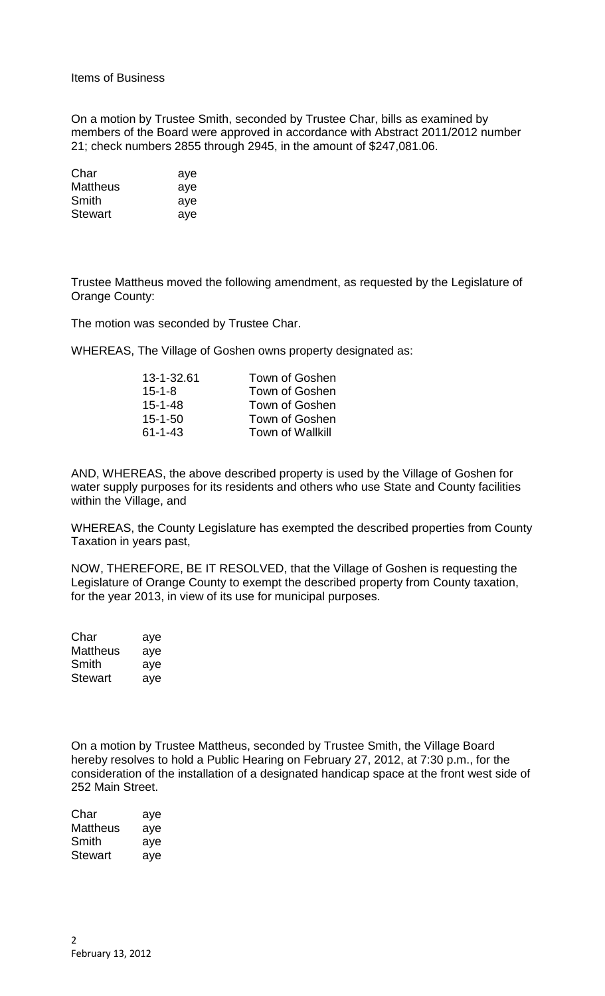Items of Business

On a motion by Trustee Smith, seconded by Trustee Char, bills as examined by members of the Board were approved in accordance with Abstract 2011/2012 number 21; check numbers 2855 through 2945, in the amount of \$247,081.06.

| Char            | aye |
|-----------------|-----|
| <b>Mattheus</b> | aye |
| Smith           | aye |
| <b>Stewart</b>  | aye |

Trustee Mattheus moved the following amendment, as requested by the Legislature of Orange County:

The motion was seconded by Trustee Char.

WHEREAS, The Village of Goshen owns property designated as:

| 13-1-32.61    | Town of Goshen          |
|---------------|-------------------------|
| $15 - 1 - 8$  | Town of Goshen          |
| $15 - 1 - 48$ | Town of Goshen          |
| $15 - 1 - 50$ | Town of Goshen          |
| $61 - 1 - 43$ | <b>Town of Wallkill</b> |
|               |                         |

AND, WHEREAS, the above described property is used by the Village of Goshen for water supply purposes for its residents and others who use State and County facilities within the Village, and

WHEREAS, the County Legislature has exempted the described properties from County Taxation in years past,

NOW, THEREFORE, BE IT RESOLVED, that the Village of Goshen is requesting the Legislature of Orange County to exempt the described property from County taxation, for the year 2013, in view of its use for municipal purposes.

| Char            | aye |
|-----------------|-----|
| <b>Mattheus</b> | aye |
| Smith           | aye |
| Stewart         | aye |

On a motion by Trustee Mattheus, seconded by Trustee Smith, the Village Board hereby resolves to hold a Public Hearing on February 27, 2012, at 7:30 p.m., for the consideration of the installation of a designated handicap space at the front west side of 252 Main Street.

| Char     | aye |
|----------|-----|
| Mattheus | aye |
| Smith    | aye |
| Stewart  | aye |